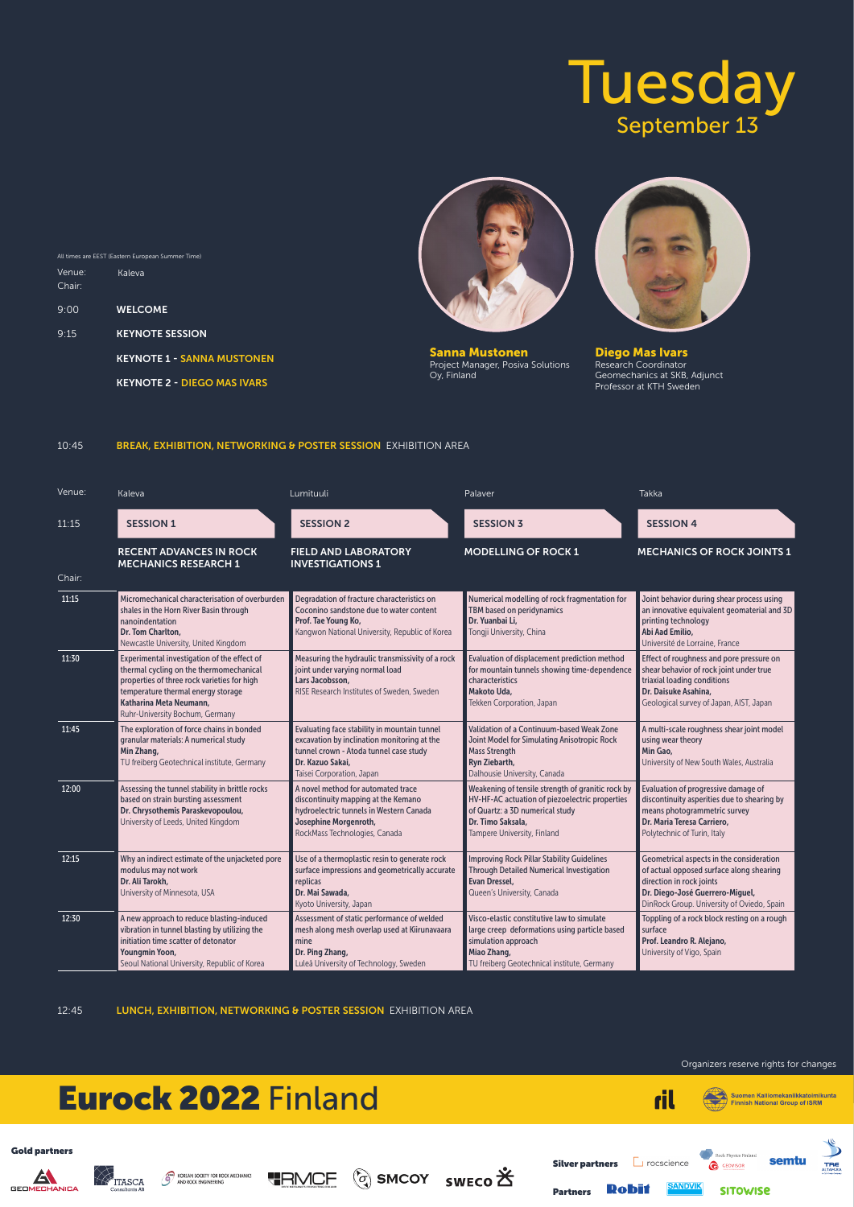

Suomen Kalliomekaniikkatoimikunta



Organizers reserve rights for changes

| Venue: | Kaleva                                                                                                                                                                                                                                    | Lumituuli                                                                                                                                                                              | Palaver                                                                                                                                                                                    | <b>Takka</b>                                                                                                                                                                                      |
|--------|-------------------------------------------------------------------------------------------------------------------------------------------------------------------------------------------------------------------------------------------|----------------------------------------------------------------------------------------------------------------------------------------------------------------------------------------|--------------------------------------------------------------------------------------------------------------------------------------------------------------------------------------------|---------------------------------------------------------------------------------------------------------------------------------------------------------------------------------------------------|
| 11:15  | <b>SESSION 1</b>                                                                                                                                                                                                                          | <b>SESSION 2</b>                                                                                                                                                                       | <b>SESSION 3</b>                                                                                                                                                                           | <b>SESSION 4</b>                                                                                                                                                                                  |
|        | <b>RECENT ADVANCES IN ROCK</b><br><b>MECHANICS RESEARCH 1</b>                                                                                                                                                                             | <b>FIELD AND LABORATORY</b><br><b>INVESTIGATIONS 1</b>                                                                                                                                 | <b>MODELLING OF ROCK 1</b>                                                                                                                                                                 | <b>MECHANICS OF ROCK JOINTS 1</b>                                                                                                                                                                 |
| Chair: |                                                                                                                                                                                                                                           |                                                                                                                                                                                        |                                                                                                                                                                                            |                                                                                                                                                                                                   |
| 11:15  | Micromechanical characterisation of overburden<br>shales in the Horn River Basin through<br>nanoindentation<br>Dr. Tom Charlton.<br>Newcastle University, United Kingdom                                                                  | Degradation of fracture characteristics on<br>Coconino sandstone due to water content<br>Prof. Tae Young Ko,<br>Kangwon National University, Republic of Korea                         | Numerical modelling of rock fragmentation for<br>TBM based on peridynamics<br>Dr. Yuanbai Li,<br>Tongji University, China                                                                  | Joint behavior during shear process using<br>an innovative equivalent geomaterial and 3D<br>printing technology<br>Abi Aad Emilio,<br>Université de Lorraine, France                              |
| 11:30  | Experimental investigation of the effect of<br>thermal cycling on the thermomechanical<br>properties of three rock varieties for high<br>temperature thermal energy storage<br>Katharina Meta Neumann,<br>Ruhr-University Bochum, Germany | Measuring the hydraulic transmissivity of a rock<br>joint under varying normal load<br>Lars Jacobsson,<br><b>RISE Research Institutes of Sweden, Sweden</b>                            | Evaluation of displacement prediction method<br>for mountain tunnels showing time-dependence<br>characteristics<br>Makoto Uda,<br>Tekken Corporation, Japan                                | Effect of roughness and pore pressure on<br>shear behavior of rock joint under true<br>triaxial loading conditions<br>Dr. Daisuke Asahina,<br>Geological survey of Japan, AIST, Japan             |
| 11:45  | The exploration of force chains in bonded<br>granular materials: A numerical study<br>Min Zhang,<br>TU freiberg Geotechnical institute, Germany                                                                                           | Evaluating face stability in mountain tunnel<br>excavation by inclination monitoring at the<br>tunnel crown - Atoda tunnel case study<br>Dr. Kazuo Sakai,<br>Taisei Corporation, Japan | Validation of a Continuum-based Weak Zone<br>Joint Model for Simulating Anisotropic Rock<br><b>Mass Strength</b><br><b>Ryn Ziebarth,</b><br>Dalhousie University, Canada                   | A multi-scale roughness shear joint model<br>using wear theory<br>Min Gao.<br>University of New South Wales, Australia                                                                            |
| 12:00  | Assessing the tunnel stability in brittle rocks<br>based on strain bursting assessment<br>Dr. Chrysothemis Paraskevopoulou,<br>University of Leeds, United Kingdom                                                                        | A novel method for automated trace<br>discontinuity mapping at the Kemano<br>hydroelectric tunnels in Western Canada<br>Josephine Morgenroth,<br>RockMass Technologies, Canada         | Weakening of tensile strength of granitic rock by<br>HV-HF-AC actuation of piezoelectric properties<br>of Quartz: a 3D numerical study<br>Dr. Timo Saksala,<br>Tampere University, Finland | Evaluation of progressive damage of<br>discontinuity asperities due to shearing by<br>means photogrammetric survey<br>Dr. Maria Teresa Carriero,<br>Polytechnic of Turin, Italy                   |
| 12:15  | Why an indirect estimate of the unjacketed pore<br>modulus may not work<br>Dr. Ali Tarokh,<br>University of Minnesota, USA                                                                                                                | Use of a thermoplastic resin to generate rock<br>surface impressions and geometrically accurate<br>replicas<br>Dr. Mai Sawada,<br>Kyoto University, Japan                              | <b>Improving Rock Pillar Stability Guidelines</b><br><b>Through Detailed Numerical Investigation</b><br><b>Evan Dressel.</b><br>Queen's University, Canada                                 | Geometrical aspects in the consideration<br>of actual opposed surface along shearing<br>direction in rock joints<br>Dr. Diego-José Guerrero-Miguel,<br>DinRock Group. University of Oviedo, Spain |
| 12:30  | A new approach to reduce blasting-induced<br>vibration in tunnel blasting by utilizing the<br>initiation time scatter of detonator<br><b>Youngmin Yoon,</b><br>Seoul National University, Republic of Korea                               | Assessment of static performance of welded<br>mesh along mesh overlap used at Kiirunavaara<br>mine<br>Dr. Ping Zhang,<br>Luleå University of Technology, Sweden                        | Visco-elastic constitutive law to simulate<br>large creep deformations using particle based<br>simulation approach<br>Miao Zhang,<br>TU freiberg Geotechnical institute, Germany           | Toppling of a rock block resting on a rough<br>surface<br>Prof. Leandro R. Alejano,<br>University of Vigo, Spain                                                                                  |

12:45 LUNCH, EXHIBITION, NETWORKING & POSTER SESSION EXHIBITION AREA



|        | All times are EEST (Eastern European Summer Time) |
|--------|---------------------------------------------------|
| Venue: | Kaleva                                            |
| Chair: |                                                   |
| 9:00   | <b>WELCOME</b>                                    |
| 9:15   | <b>KEYNOTE SESSION</b>                            |
|        | <b>KEYNOTE 1 - SANNA MUSTONEN</b>                 |
|        | <b>KEYNOTE 2 - DIEGO MAS IVARS</b>                |
|        |                                                   |



10:45 BREAK, EXHIBITION, NETWORKING & POSTER SESSION EXHIBITION AREA

Sanna Mustonen Project Manager, Posiva Solutions Oy, Finland



Diego Mas Ivars Research Coordinator Geomechanics at SKB, Adjunct Professor at KTH Sweden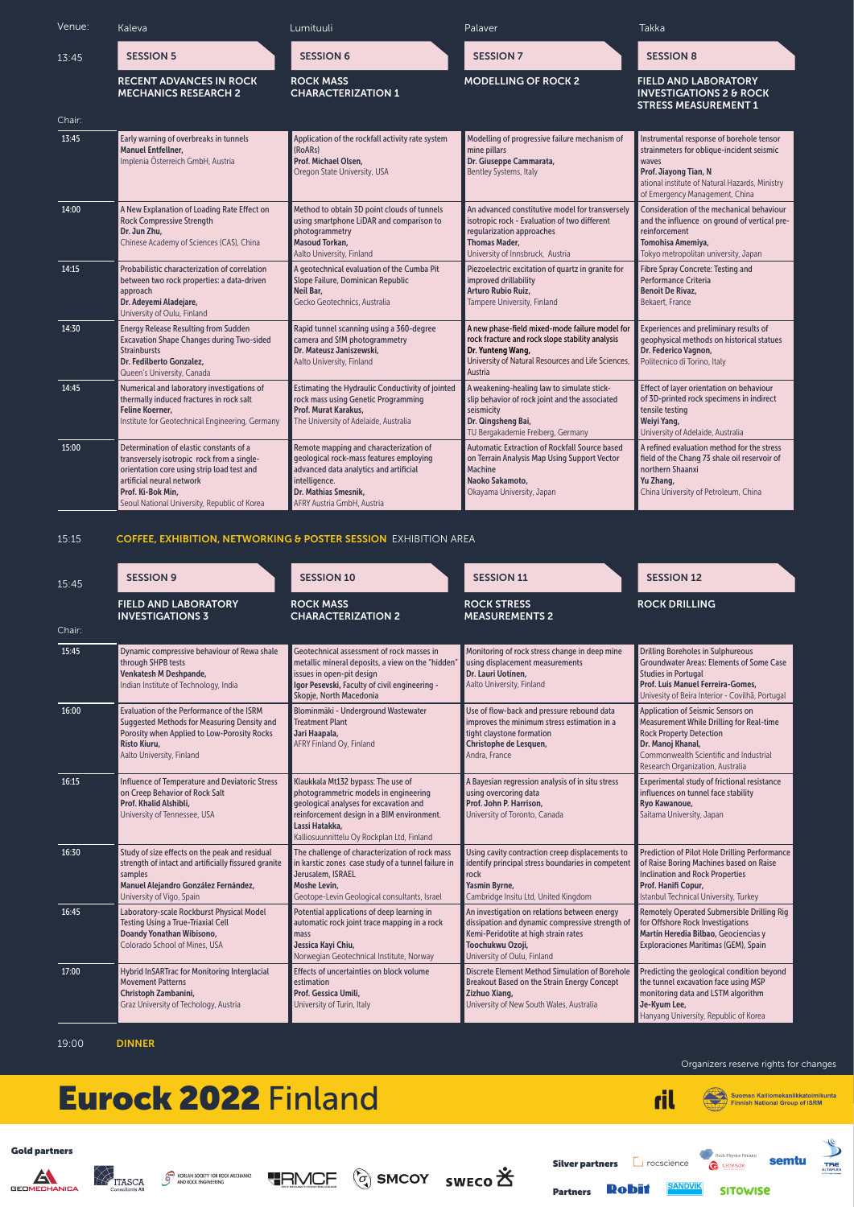

Suomen Kalliomekaniikkatoimikunta<br>Finnish National Group of ISRM



Organizers reserve rights for changes

| Venue: | Kaleva                                                                                                                                                                                                                                | Lumituuli                                                                                                                                                                                          | Palaver                                                                                                                                                                                  | Takka                                                                                                                                                                                                       |
|--------|---------------------------------------------------------------------------------------------------------------------------------------------------------------------------------------------------------------------------------------|----------------------------------------------------------------------------------------------------------------------------------------------------------------------------------------------------|------------------------------------------------------------------------------------------------------------------------------------------------------------------------------------------|-------------------------------------------------------------------------------------------------------------------------------------------------------------------------------------------------------------|
| 13:45  | <b>SESSION 5</b>                                                                                                                                                                                                                      | <b>SESSION 6</b>                                                                                                                                                                                   | <b>SESSION 7</b>                                                                                                                                                                         | <b>SESSION 8</b>                                                                                                                                                                                            |
|        | <b>RECENT ADVANCES IN ROCK</b><br><b>MECHANICS RESEARCH 2</b>                                                                                                                                                                         | <b>ROCK MASS</b><br><b>CHARACTERIZATION 1</b>                                                                                                                                                      | <b>MODELLING OF ROCK 2</b>                                                                                                                                                               | <b>FIELD AND LABORATORY</b><br><b>INVESTIGATIONS 2 &amp; ROCK</b><br><b>STRESS MEASUREMENT 1</b>                                                                                                            |
| Chair: |                                                                                                                                                                                                                                       |                                                                                                                                                                                                    |                                                                                                                                                                                          |                                                                                                                                                                                                             |
| 13:45  | Early warning of overbreaks in tunnels<br><b>Manuel Entfellner,</b><br>Implenia Österreich GmbH, Austria                                                                                                                              | Application of the rockfall activity rate system<br>(RoARs)<br>Prof. Michael Olsen,<br>Oregon State University, USA                                                                                | Modelling of progressive failure mechanism of<br>mine pillars<br>Dr. Giuseppe Cammarata,<br><b>Bentley Systems, Italy</b>                                                                | Instrumental response of borehole tensor<br>strainmeters for oblique-incident seismic<br>waves<br>Prof. Jiayong Tian, N<br>ational institute of Natural Hazards, Ministry<br>of Emergency Management, China |
| 14:00  | A New Explanation of Loading Rate Effect on<br><b>Rock Compressive Strength</b><br>Dr. Jun Zhu,<br>Chinese Academy of Sciences (CAS), China                                                                                           | Method to obtain 3D point clouds of tunnels<br>using smartphone LiDAR and comparison to<br>photogrammetry<br><b>Masoud Torkan,</b><br>Aalto University, Finland                                    | An advanced constitutive model for transversely<br>isotropic rock - Evaluation of two different<br>regularization approaches<br><b>Thomas Mader,</b><br>University of Innsbruck, Austria | Consideration of the mechanical behaviour<br>and the influence on ground of vertical pre-<br>reinforcement<br>Tomohisa Amemiya,<br>Tokyo metropolitan university, Japan                                     |
| 14:15  | Probabilistic characterization of correlation<br>between two rock properties: a data-driven<br>approach<br>Dr. Adeyemi Aladejare,<br>University of Oulu, Finland                                                                      | A geotechnical evaluation of the Cumba Pit<br>Slope Failure, Dominican Republic<br>Neil Bar,<br>Gecko Geotechnics, Australia                                                                       | Piezoelectric excitation of quartz in granite for<br>improved drillability<br>Arturo Rubio Ruiz,<br>Tampere University, Finland                                                          | <b>Fibre Spray Concrete: Testing and</b><br>Performance Criteria<br><b>Benoit De Rivaz,</b><br>Bekaert, France                                                                                              |
| 14:30  | <b>Energy Release Resulting from Sudden</b><br><b>Excavation Shape Changes during Two-sided</b><br><b>Strainbursts</b><br>Dr. Fedilberto Gonzalez,<br>Queen's University, Canada                                                      | Rapid tunnel scanning using a 360-degree<br>camera and SfM photogrammetry<br>Dr. Mateusz Janiszewski,<br>Aalto University, Finland                                                                 | A new phase-field mixed-mode failure model for<br>rock fracture and rock slope stability analysis<br>Dr. Yunteng Wang,<br>University of Natural Resources and Life Sciences,<br>Austria  | Experiences and preliminary results of<br>geophysical methods on historical statues<br>Dr. Federico Vagnon,<br>Politecnico di Torino, Italy                                                                 |
| 14:45  | Numerical and laboratory investigations of<br>thermally induced fractures in rock salt<br><b>Feline Koerner,</b><br>Institute for Geotechnical Engineering, Germany                                                                   | Estimating the Hydraulic Conductivity of jointed<br>rock mass using Genetic Programming<br>Prof. Murat Karakus,<br>The University of Adelaide, Australia                                           | A weakening-healing law to simulate stick-<br>slip behavior of rock joint and the associated<br>seismicity<br>Dr. Qingsheng Bai,<br>TU Bergakademie Freiberg, Germany                    | Effect of layer orientation on behaviour<br>of 3D-printed rock specimens in indirect<br>tensile testing<br>Weiyi Yang,<br>University of Adelaide, Australia                                                 |
| 15:00  | Determination of elastic constants of a<br>transversely isotropic rock from a single-<br>orientation core using strip load test and<br>artificial neural network<br>Prof. Ki-Bok Min,<br>Seoul National University, Republic of Korea | Remote mapping and characterization of<br>geological rock-mass features employing<br>advanced data analytics and artificial<br>intelligence.<br>Dr. Mathias Smesnik,<br>AFRY Austria GmbH, Austria | <b>Automatic Extraction of Rockfall Source based</b><br>on Terrain Analysis Map Using Support Vector<br><b>Machine</b><br>Naoko Sakamoto,<br>Okayama University, Japan                   | A refined evaluation method for the stress<br>field of the Chang 73 shale oil reservoir of<br>northern Shaanxi<br>Yu Zhang,<br>China University of Petroleum, China                                         |

| 15:45  | <b>SESSION 9</b>                                                                                                                                                                            | <b>SESSION 10</b>                                                                                                                                                                                                                   | <b>SESSION 11</b>                                                                                                                                                     | <b>SESSION 12</b>                                                                                                                                                                                                                |
|--------|---------------------------------------------------------------------------------------------------------------------------------------------------------------------------------------------|-------------------------------------------------------------------------------------------------------------------------------------------------------------------------------------------------------------------------------------|-----------------------------------------------------------------------------------------------------------------------------------------------------------------------|----------------------------------------------------------------------------------------------------------------------------------------------------------------------------------------------------------------------------------|
|        | <b>FIELD AND LABORATORY</b><br><b>INVESTIGATIONS 3</b>                                                                                                                                      | <b>ROCK MASS</b><br><b>CHARACTERIZATION 2</b>                                                                                                                                                                                       | <b>ROCK STRESS</b><br><b>MEASUREMENTS 2</b>                                                                                                                           | <b>ROCK DRILLING</b>                                                                                                                                                                                                             |
| Chair: |                                                                                                                                                                                             |                                                                                                                                                                                                                                     |                                                                                                                                                                       |                                                                                                                                                                                                                                  |
| 15:45  | Dynamic compressive behaviour of Rewa shale<br>through SHPB tests<br><b>Venkatesh M Deshpande,</b><br>Indian Institute of Technology, India                                                 | Geotechnical assessment of rock masses in<br>metallic mineral deposits, a view on the "hidden"<br>issues in open-pit design<br>Igor Pesevski, Faculty of civil engineering -<br>Skopje, North Macedonia                             | Monitoring of rock stress change in deep mine<br>using displacement measurements<br>Dr. Lauri Uotinen.<br>Aalto University, Finland                                   | <b>Drilling Boreholes in Sulphureous</b><br><b>Groundwater Areas: Elements of Some Case</b><br><b>Studies in Portugal</b><br>Prof. Luis Manuel Ferreira-Gomes,<br>Univesity of Beira Interior - Covilhã, Portugal                |
| 16:00  | Evaluation of the Performance of the ISRM<br>Suggested Methods for Measuring Density and<br>Porosity when Applied to Low-Porosity Rocks<br><b>Risto Kiuru,</b><br>Aalto University, Finland | Blominmäki - Underground Wastewater<br><b>Treatment Plant</b><br>Jari Haapala,<br>AFRY Finland Oy, Finland                                                                                                                          | Use of flow-back and pressure rebound data<br>improves the minimum stress estimation in a<br>tight claystone formation<br>Christophe de Lesquen,<br>Andra, France     | <b>Application of Seismic Sensors on</b><br><b>Measurement While Drilling for Real-time</b><br><b>Rock Property Detection</b><br>Dr. Manoj Khanal,<br>Commonwealth Scientific and Industrial<br>Research Organization, Australia |
| 16:15  | Influence of Temperature and Deviatoric Stress<br>on Creep Behavior of Rock Salt<br>Prof. Khalid Alshibli,<br>University of Tennessee, USA                                                  | Klaukkala Mt132 bypass: The use of<br>photogrammetric models in engineering<br>geological analyses for excavation and<br>reinforcement design in a BIM environment.<br>Lassi Hatakka.<br>Kalliosuunnittelu Oy Rockplan Ltd, Finland | A Bayesian regression analysis of in situ stress<br>using overcoring data<br>Prof. John P. Harrison,<br>University of Toronto, Canada                                 | Experimental study of frictional resistance<br>influences on tunnel face stability<br>Ryo Kawanoue,<br>Saitama University, Japan                                                                                                 |
| 16:30  | Study of size effects on the peak and residual<br>strength of intact and artificially fissured granite<br>samples<br>Manuel Alejandro González Fernández,<br>University of Vigo, Spain      | The challenge of characterization of rock mass<br>in karstic zones case study of a tunnel failure in<br>Jerusalem, ISRAEL<br><b>Moshe Levin,</b><br>Geotope-Levin Geological consultants, Israel                                    | Using cavity contraction creep displacements to<br>identify principal stress boundaries in competent<br>rock<br>Yasmin Byrne,<br>Cambridge Insitu Ltd, United Kingdom | <b>Prediction of Pilot Hole Drilling Performance</b><br>of Raise Boring Machines based on Raise<br><b>Inclination and Rock Properties</b><br>Prof. Hanifi Copur,<br>Istanbul Technical University, Turkey                        |
| 16.45  | aboratory-scale Rockhurst Physical Model                                                                                                                                                    | Dotantial annications of deep learning in                                                                                                                                                                                           | An investigation on relations hetween energy                                                                                                                          | <b>Remotely Operated Submercible Drilling Rigure</b>                                                                                                                                                                             |

| 16:45 | Laboratory-scale Rockburst Physical Model    | Potential applications of deep learning in   | An investigation on relations between energy                                              | Remotely Operated Submersible Drilling Rig          |
|-------|----------------------------------------------|----------------------------------------------|-------------------------------------------------------------------------------------------|-----------------------------------------------------|
|       | <b>Testing Using a True-Triaxial Cell</b>    | automatic rock joint trace mapping in a rock | dissipation and dynamic compressive strength of for Offshore Rock Investigations          |                                                     |
|       | Doandy Yonathan Wibisono,                    | <b>I</b> mass                                | Kemi-Peridotite at high strain rates                                                      | Martín Heredia Bilbao, Geociencias y                |
|       | Colorado School of Mines, USA                | <b>Jessica Kayi Chiu,</b>                    | <b>Toochukwu Ozoji,</b>                                                                   | <b>Exploraciones Marítimas (GEM), Spain</b>         |
|       |                                              | Norwegian Geotechnical Institute, Norway     | University of Oulu, Finland                                                               |                                                     |
| 17:00 | Hybrid InSARTrac for Monitoring Interglacial | Effects of uncertainties on block volume     | Discrete Element Method Simulation of Borehole Predicting the geological condition beyond |                                                     |
|       | <b>Movement Patterns</b>                     | <b>estimation</b>                            | Breakout Based on the Strain Energy Concept                                               | $\blacksquare$ the tunnel excavation face using MSP |
|       | Christoph Zambanini,                         | <b>Prof. Gessica Umili,</b>                  | Zizhuo Xiang,                                                                             | monitoring data and LSTM algorithm                  |
|       | Graz University of Techology, Austria        | University of Turin, Italy                   | University of New South Wales, Australia                                                  | Je-Kyum Lee,                                        |
|       |                                              |                                              |                                                                                           | Hanyang University, Republic of Korea               |

#### 15:15 COFFEE, EXHIBITION, NETWORKING & POSTER SESSION EXHIBITION AREA

19:00 DINNER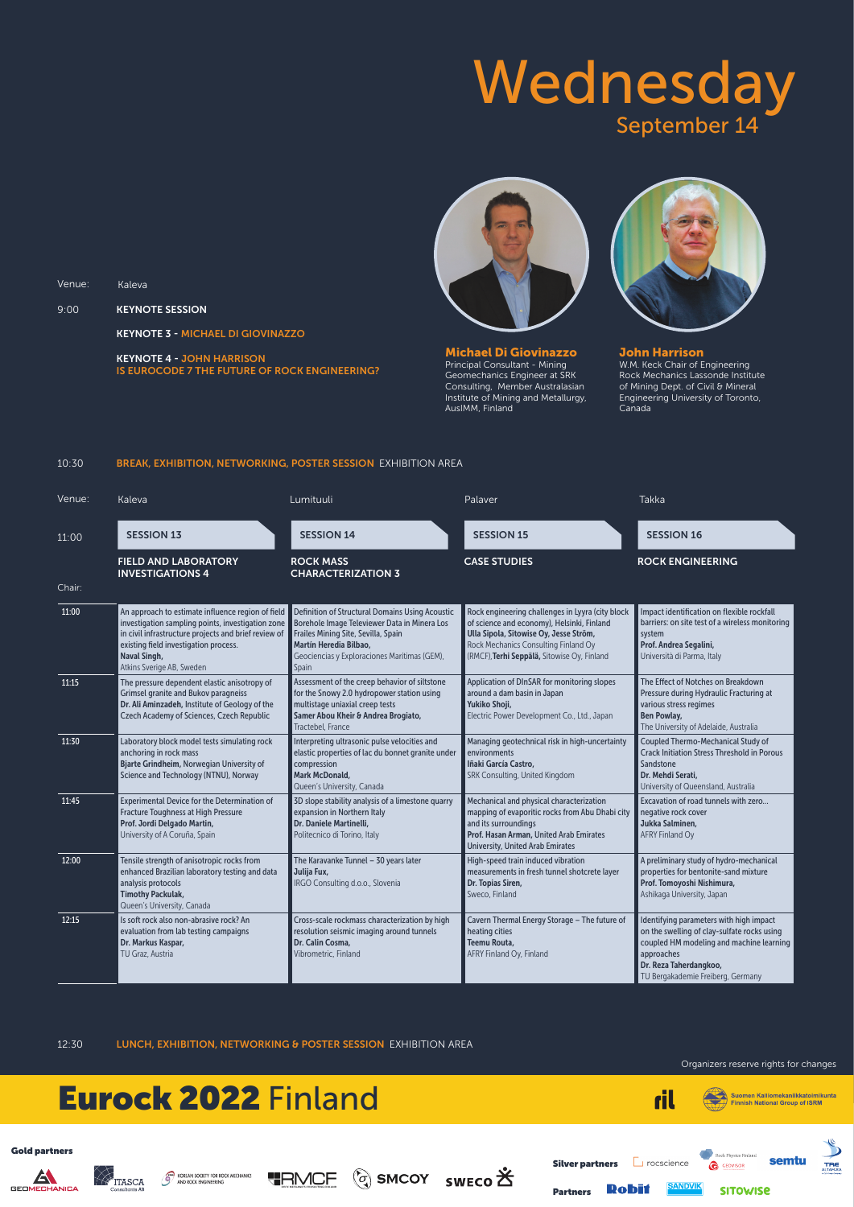

Suomen Kalliomekaniikkatoimikunta<br>Finnish National Group of ISRM **Finnish National Group of ISRM** 



Organizers reserve rights for changes

## Wednesday September 14



9:00 KEYNOTE SESSION

KEYNOTE 3 - MICHAEL DI GIOVINAZZO

KEYNOTE 4 - JOHN HARRISON

Venue: Kaleva

IS EUROCODE 7 THE FUTURE OF ROCK ENGINEERING?

Michael Di Giovinazzo Principal Consultant - Mining Geomechanics Engineer at SRK Consulting, Member Australasian Institute of Mining and Metallurgy, AusIMM, Finland



John Harrison W.M. Keck Chair of Engineering Rock Mechanics Lassonde Institute of Mining Dept. of Civil & Mineral Engineering University of Toronto, Canada

#### 10:30 BREAK, EXHIBITION, NETWORKING, POSTER SESSION EXHIBITION AREA

| Venue: | Kaleva                                                                                                                                                                                                                                                      | Lumituuli                                                                                                                                                                                                                 | Palaver                                                                                                                                                                                                                         | <b>Takka</b>                                                                                                                                                                                                    |
|--------|-------------------------------------------------------------------------------------------------------------------------------------------------------------------------------------------------------------------------------------------------------------|---------------------------------------------------------------------------------------------------------------------------------------------------------------------------------------------------------------------------|---------------------------------------------------------------------------------------------------------------------------------------------------------------------------------------------------------------------------------|-----------------------------------------------------------------------------------------------------------------------------------------------------------------------------------------------------------------|
| 11:00  | <b>SESSION 13</b>                                                                                                                                                                                                                                           | <b>SESSION 14</b>                                                                                                                                                                                                         | <b>SESSION 15</b>                                                                                                                                                                                                               | <b>SESSION 16</b>                                                                                                                                                                                               |
|        | <b>FIELD AND LABORATORY</b><br><b>INVESTIGATIONS 4</b>                                                                                                                                                                                                      | <b>ROCK MASS</b><br><b>CHARACTERIZATION 3</b>                                                                                                                                                                             | <b>CASE STUDIES</b>                                                                                                                                                                                                             | <b>ROCK ENGINEERING</b>                                                                                                                                                                                         |
| Chair: |                                                                                                                                                                                                                                                             |                                                                                                                                                                                                                           |                                                                                                                                                                                                                                 |                                                                                                                                                                                                                 |
| 11:00  | An approach to estimate influence region of field<br>investigation sampling points, investigation zone<br>in civil infrastructure projects and brief review of<br>existing field investigation process.<br><b>Naval Singh,</b><br>Atkins Sverige AB, Sweden | Definition of Structural Domains Using Acoustic<br>Borehole Image Televiewer Data in Minera Los<br>Frailes Mining Site, Sevilla, Spain<br>Martín Heredia Bilbao,<br>Geociencias y Exploraciones Marítimas (GEM),<br>Spain | Rock engineering challenges in Lyyra (city block<br>of science and economy), Helsinki, Finland<br>Ulla Sipola, Sitowise Oy, Jesse Ström,<br>Rock Mechanics Consulting Finland Oy<br>(RMCF), Terhi Seppälä, Sitowise Oy, Finland | Impact identification on flexible rockfall<br>barriers: on site test of a wireless monitoring<br>system<br>Prof. Andrea Segalini,<br>Università di Parma, Italy                                                 |
| 11:15  | The pressure dependent elastic anisotropy of<br><b>Grimsel granite and Bukov paragneiss</b><br>Dr. Ali Aminzadeh, Institute of Geology of the<br>Czech Academy of Sciences, Czech Republic                                                                  | Assessment of the creep behavior of siltstone<br>for the Snowy 2.0 hydropower station using<br>multistage uniaxial creep tests<br>Samer Abou Kheir & Andrea Brogiato,<br>Tractebel, France                                | Application of DInSAR for monitoring slopes<br>around a dam basin in Japan<br>Yukiko Shoji,<br>Electric Power Development Co., Ltd., Japan                                                                                      | The Effect of Notches on Breakdown<br>Pressure during Hydraulic Fracturing at<br>various stress regimes<br><b>Ben Powlay,</b><br>The University of Adelaide, Australia                                          |
| 11:30  | Laboratory block model tests simulating rock<br>anchoring in rock mass<br>Bjarte Grindheim, Norwegian University of<br>Science and Technology (NTNU), Norway                                                                                                | Interpreting ultrasonic pulse velocities and<br>elastic properties of lac du bonnet granite under<br>compression<br><b>Mark McDonald,</b><br>Queen's University, Canada                                                   | Managing geotechnical risk in high-uncertainty<br>environments<br>Iñaki García Castro,<br>SRK Consulting, United Kingdom                                                                                                        | Coupled Thermo-Mechanical Study of<br><b>Crack Initiation Stress Threshold in Porous</b><br>Sandstone<br>Dr. Mehdi Serati.<br>University of Queensland, Australia                                               |
| 11:45  | Experimental Device for the Determination of<br>Fracture Toughness at High Pressure<br>Prof. Jordi Delgado Martin,<br>University of A Coruña, Spain                                                                                                         | 3D slope stability analysis of a limestone quarry<br>expansion in Northern Italy<br>Dr. Daniele Martinelli,<br>Politecnico di Torino, Italy                                                                               | Mechanical and physical characterization<br>mapping of evaporitic rocks from Abu Dhabi city<br>and its surroundings<br>Prof. Hasan Arman, United Arab Emirates<br><b>University, United Arab Emirates</b>                       | Excavation of road tunnels with zero<br>negative rock cover<br>Jukka Salminen,<br><b>AFRY Finland Oy</b>                                                                                                        |
| 12:00  | Tensile strength of anisotropic rocks from<br>enhanced Brazilian laboratory testing and data<br>analysis protocols<br><b>Timothy Packulak,</b><br>Queen's University, Canada                                                                                | The Karavanke Tunnel - 30 years later<br>Julija Fux,<br>IRGO Consulting d.o.o., Slovenia                                                                                                                                  | High-speed train induced vibration<br>measurements in fresh tunnel shotcrete layer<br>Dr. Topias Siren,<br>Sweco, Finland                                                                                                       | A preliminary study of hydro-mechanical<br>properties for bentonite-sand mixture<br>Prof. Tomoyoshi Nishimura,<br>Ashikaga University, Japan                                                                    |
| 12:15  | Is soft rock also non-abrasive rock? An<br>evaluation from lab testing campaigns<br>Dr. Markus Kaspar,<br>TU Graz, Austria                                                                                                                                  | Cross-scale rockmass characterization by high<br>resolution seismic imaging around tunnels<br>Dr. Calin Cosma,<br>Vibrometric, Finland                                                                                    | Cavern Thermal Energy Storage - The future of<br>heating cities<br>Teemu Routa,<br>AFRY Finland Oy, Finland                                                                                                                     | Identifying parameters with high impact<br>on the swelling of clay-sulfate rocks using<br>coupled HM modeling and machine learning<br>approaches<br>Dr. Reza Taherdangkoo,<br>TU Bergakademie Freiberg, Germany |

12:30 LUNCH, EXHIBITION, NETWORKING & POSTER SESSION EXHIBITION AREA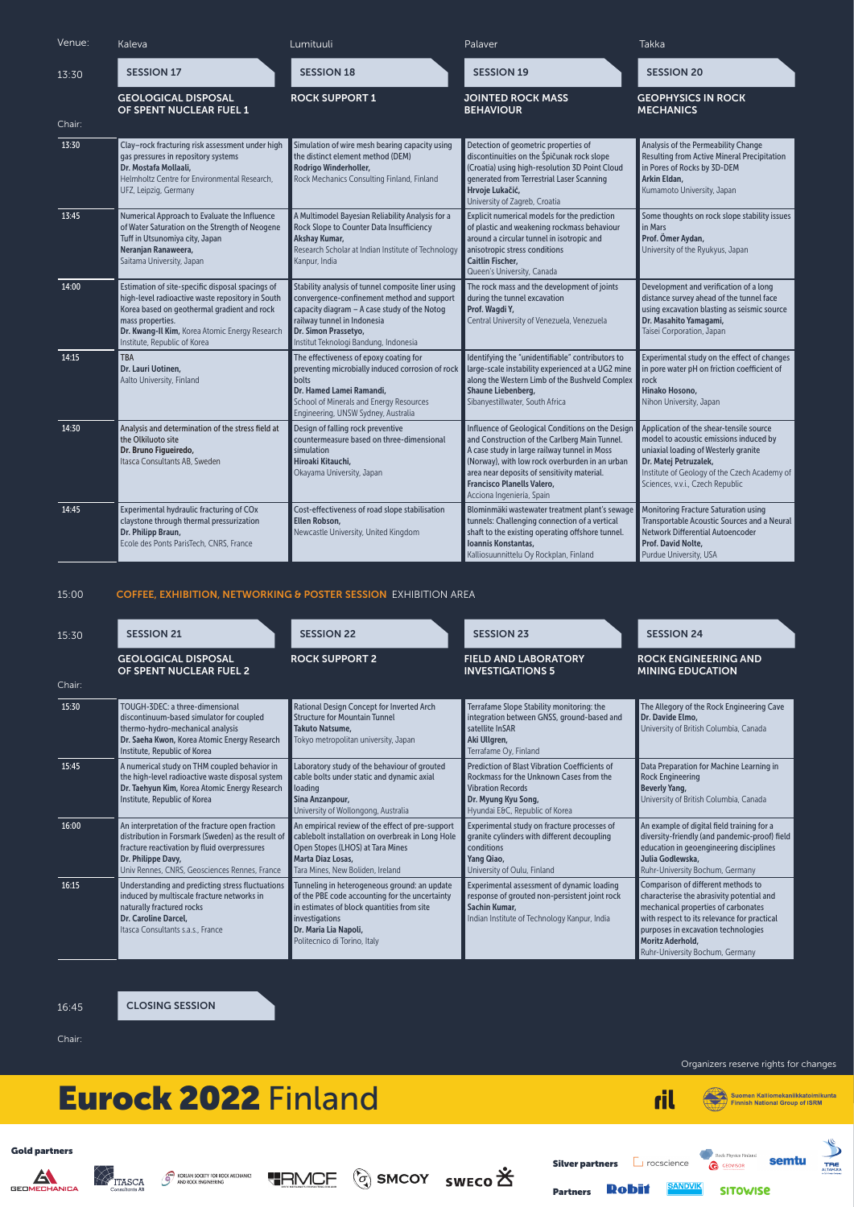

Suomen Kalliomekaniikkatoimikunta<br>Finnish National Group of ISRM



Organizers reserve rights for changes

#### 15:00 COFFEE, EXHIBITION, NETWORKING & POSTER SESSION EXHIBITION AREA

| Venue: | Kaleva                                                                                                                                                                                                                                                    | Lumituuli                                                                                                                                                                                                                                        | Palaver                                                                                                                                                                                                                                                                                                       | <b>Takka</b>                                                                                                                                                                                                                           |
|--------|-----------------------------------------------------------------------------------------------------------------------------------------------------------------------------------------------------------------------------------------------------------|--------------------------------------------------------------------------------------------------------------------------------------------------------------------------------------------------------------------------------------------------|---------------------------------------------------------------------------------------------------------------------------------------------------------------------------------------------------------------------------------------------------------------------------------------------------------------|----------------------------------------------------------------------------------------------------------------------------------------------------------------------------------------------------------------------------------------|
| 13:30  | <b>SESSION 17</b>                                                                                                                                                                                                                                         | <b>SESSION 18</b>                                                                                                                                                                                                                                | <b>SESSION 19</b>                                                                                                                                                                                                                                                                                             | <b>SESSION 20</b>                                                                                                                                                                                                                      |
| Chair: | <b>GEOLOGICAL DISPOSAL</b><br>OF SPENT NUCLEAR FUEL 1                                                                                                                                                                                                     | <b>ROCK SUPPORT 1</b>                                                                                                                                                                                                                            | <b>JOINTED ROCK MASS</b><br><b>BEHAVIOUR</b>                                                                                                                                                                                                                                                                  | <b>GEOPHYSICS IN ROCK</b><br><b>MECHANICS</b>                                                                                                                                                                                          |
| 13:30  | Clay-rock fracturing risk assessment under high<br>gas pressures in repository systems<br>Dr. Mostafa Mollaali,<br>Helmholtz Centre for Environmental Research,<br>UFZ, Leipzig, Germany                                                                  | Simulation of wire mesh bearing capacity using<br>the distinct element method (DEM)<br>Rodrigo Winderholler,<br>Rock Mechanics Consulting Finland, Finland                                                                                       | Detection of geometric properties of<br>discontinuities on the Špičunak rock slope<br>(Croatia) using high-resolution 3D Point Cloud<br>generated from Terrestrial Laser Scanning<br>Hrvoje Lukačić,<br>University of Zagreb, Croatia                                                                         | Analysis of the Permeability Change<br><b>Resulting from Active Mineral Precipitation</b><br>in Pores of Rocks by 3D-DEM<br>Arkin Eldan,<br>Kumamoto University, Japan                                                                 |
| 13:45  | Numerical Approach to Evaluate the Influence<br>of Water Saturation on the Strength of Neogene<br>Tuff in Utsunomiya city, Japan<br>Neranjan Ranaweera,<br>Saitama University, Japan                                                                      | A Multimodel Bayesian Reliability Analysis for a<br>Rock Slope to Counter Data Insufficiency<br><b>Akshay Kumar,</b><br>Research Scholar at Indian Institute of Technology<br>Kanpur, India                                                      | Explicit numerical models for the prediction<br>of plastic and weakening rockmass behaviour<br>around a circular tunnel in isotropic and<br>anisotropic stress conditions<br><b>Caitlin Fischer,</b><br>Queen's University, Canada                                                                            | Some thoughts on rock slope stability issues<br>in Mars<br>Prof. Ömer Aydan,<br>University of the Ryukyus, Japan                                                                                                                       |
| 14:00  | Estimation of site-specific disposal spacings of<br>high-level radioactive waste repository in South<br>Korea based on geothermal gradient and rock<br>mass properties.<br>Dr. Kwang-Il Kim, Korea Atomic Energy Research<br>Institute, Republic of Korea | Stability analysis of tunnel composite liner using<br>convergence-confinement method and support<br>capacity diagram - A case study of the Notog<br>railway tunnel in Indonesia<br>Dr. Simon Prassetyo,<br>Institut Teknologi Bandung, Indonesia | The rock mass and the development of joints<br>during the tunnel excavation<br>Prof. Wagdi Y,<br>Central University of Venezuela, Venezuela                                                                                                                                                                   | Development and verification of a long<br>distance survey ahead of the tunnel face<br>using excavation blasting as seismic source<br>Dr. Masahito Yamagami,<br>Taisei Corporation, Japan                                               |
| 14:15  | <b>TBA</b><br>Dr. Lauri Uotinen,<br>Aalto University, Finland                                                                                                                                                                                             | The effectiveness of epoxy coating for<br>preventing microbially induced corrosion of rock<br><b>bolts</b><br>Dr. Hamed Lamei Ramandi,<br>School of Minerals and Energy Resources<br>Engineering, UNSW Sydney, Australia                         | Identifying the "unidentifiable" contributors to<br>large-scale instability experienced at a UG2 mine<br>along the Western Limb of the Bushveld Complex<br><b>Shaune Liebenberg,</b><br>Sibanyestillwater, South Africa                                                                                       | Experimental study on the effect of changes<br>in pore water pH on friction coefficient of<br>rock<br>Hinako Hosono,<br>Nihon University, Japan                                                                                        |
| 14:30  | Analysis and determination of the stress field at<br>the Olkiluoto site<br>Dr. Bruno Figueiredo,<br>Itasca Consultants AB, Sweden                                                                                                                         | Design of falling rock preventive<br>countermeasure based on three-dimensional<br>simulation<br>Hiroaki Kitauchi,<br>Okayama University, Japan                                                                                                   | Influence of Geological Conditions on the Design<br>and Construction of the Carlberg Main Tunnel.<br>A case study in large railway tunnel in Moss<br>(Norway), with low rock overburden in an urban<br>area near deposits of sensitivity material.<br>Francisco Planells Valero,<br>Acciona Ingeniería, Spain | Application of the shear-tensile source<br>model to acoustic emissions induced by<br>uniaxial loading of Westerly granite<br>Dr. Matej Petruzalek,<br>Institute of Geology of the Czech Academy of<br>Sciences, v.v.i., Czech Republic |
| 14:45  | Experimental hydraulic fracturing of COx<br>claystone through thermal pressurization<br>Dr. Philipp Braun,<br>Ecole des Ponts ParisTech, CNRS, France                                                                                                     | Cost-effectiveness of road slope stabilisation<br>Ellen Robson,<br>Newcastle University, United Kingdom                                                                                                                                          | Blominmäki wastewater treatment plant's sewage<br>tunnels: Challenging connection of a vertical<br>shaft to the existing operating offshore tunnel.<br>Ioannis Konstantas,<br>Kalliosuunnittelu Oy Rockplan, Finland                                                                                          | Monitoring Fracture Saturation using<br>Transportable Acoustic Sources and a Neural<br>Network Differential Autoencoder<br>Prof. David Nolte,<br>Purdue University, USA                                                                |

| 15:30  | <b>SESSION 21</b>                                                                                                                                                                                                            | <b>SESSION 22</b>                                                                                                                                                                                                       | <b>SESSION 23</b>                                                                                                                                                                    | <b>SESSION 24</b>                                                                                                                                                                                                                                                   |
|--------|------------------------------------------------------------------------------------------------------------------------------------------------------------------------------------------------------------------------------|-------------------------------------------------------------------------------------------------------------------------------------------------------------------------------------------------------------------------|--------------------------------------------------------------------------------------------------------------------------------------------------------------------------------------|---------------------------------------------------------------------------------------------------------------------------------------------------------------------------------------------------------------------------------------------------------------------|
|        | <b>GEOLOGICAL DISPOSAL</b><br>OF SPENT NUCLEAR FUEL 2                                                                                                                                                                        | <b>ROCK SUPPORT 2</b>                                                                                                                                                                                                   | <b>FIELD AND LABORATORY</b><br><b>INVESTIGATIONS 5</b>                                                                                                                               | <b>ROCK ENGINEERING AND</b><br><b>MINING EDUCATION</b>                                                                                                                                                                                                              |
| Chair: |                                                                                                                                                                                                                              |                                                                                                                                                                                                                         |                                                                                                                                                                                      |                                                                                                                                                                                                                                                                     |
| 15:30  | TOUGH-3DEC: a three-dimensional<br>discontinuum-based simulator for coupled<br>thermo-hydro-mechanical analysis<br>Dr. Saeha Kwon, Korea Atomic Energy Research<br>Institute, Republic of Korea                              | Rational Design Concept for Inverted Arch<br>Structure for Mountain Tunnel<br><b>Takuto Natsume.</b><br>Tokyo metropolitan university, Japan                                                                            | Terrafame Slope Stability monitoring: the<br>integration between GNSS, ground-based and<br>satellite InSAR<br>Aki Ullgren,<br>Terrafame Oy, Finland                                  | The Allegory of the Rock Engineering Cave<br>Dr. Davide Elmo,<br>University of British Columbia, Canada                                                                                                                                                             |
| 15:45  | A numerical study on THM coupled behavior in<br>the high-level radioactive waste disposal system<br>Dr. Taehyun Kim, Korea Atomic Energy Research<br>Institute, Republic of Korea                                            | Laboratory study of the behaviour of grouted<br>cable bolts under static and dynamic axial<br>loading<br>Sina Anzanpour,<br>University of Wollongong, Australia                                                         | <b>Prediction of Blast Vibration Coefficients of</b><br>Rockmass for the Unknown Cases from the<br><b>Vibration Records</b><br>Dr. Myung Kyu Song,<br>Hyundai E&C, Republic of Korea | Data Preparation for Machine Learning in<br><b>Rock Engineering</b><br><b>Beverly Yang,</b><br>University of British Columbia, Canada                                                                                                                               |
| 16:00  | An interpretation of the fracture open fraction<br>distribution in Forsmark (Sweden) as the result of<br>fracture reactivation by fluid overpressures<br>Dr. Philippe Davy,<br>Univ Rennes, CNRS, Geosciences Rennes, France | An empirical review of the effect of pre-support<br>cablebolt installation on overbreak in Long Hole<br>Open Stopes (LHOS) at Tara Mines<br><b>Marta Diaz Losas.</b><br>Tara Mines, New Boliden, Ireland                | Experimental study on fracture processes of<br>granite cylinders with different decoupling<br>conditions<br>Yang Qiao,<br>University of Oulu, Finland                                | An example of digital field training for a<br>diversity-friendly (and pandemic-proof) field<br>education in geoengineering disciplines<br>Julia Godlewska.<br>Ruhr-University Bochum, Germany                                                                       |
| 16:15  | Understanding and predicting stress fluctuations<br>induced by multiscale fracture networks in<br>naturally fractured rocks<br>Dr. Caroline Darcel,<br>Itasca Consultants s.a.s., France                                     | Tunneling in heterogeneous ground: an update<br>of the PBE code accounting for the uncertainty<br>in estimates of block quantities from site<br>investigations<br>Dr. Maria Lia Napoli,<br>Politecnico di Torino, Italy | Experimental assessment of dynamic loading<br>response of grouted non-persistent joint rock<br>Sachin Kumar.<br>Indian Institute of Technology Kanpur, India                         | Comparison of different methods to<br>characterise the abrasivity potential and<br>mechanical properties of carbonates<br>with respect to its relevance for practical<br>purposes in excavation technologies<br>Moritz Aderhold,<br>Ruhr-University Bochum, Germany |

16:45 CLOSING SESSION Chair: